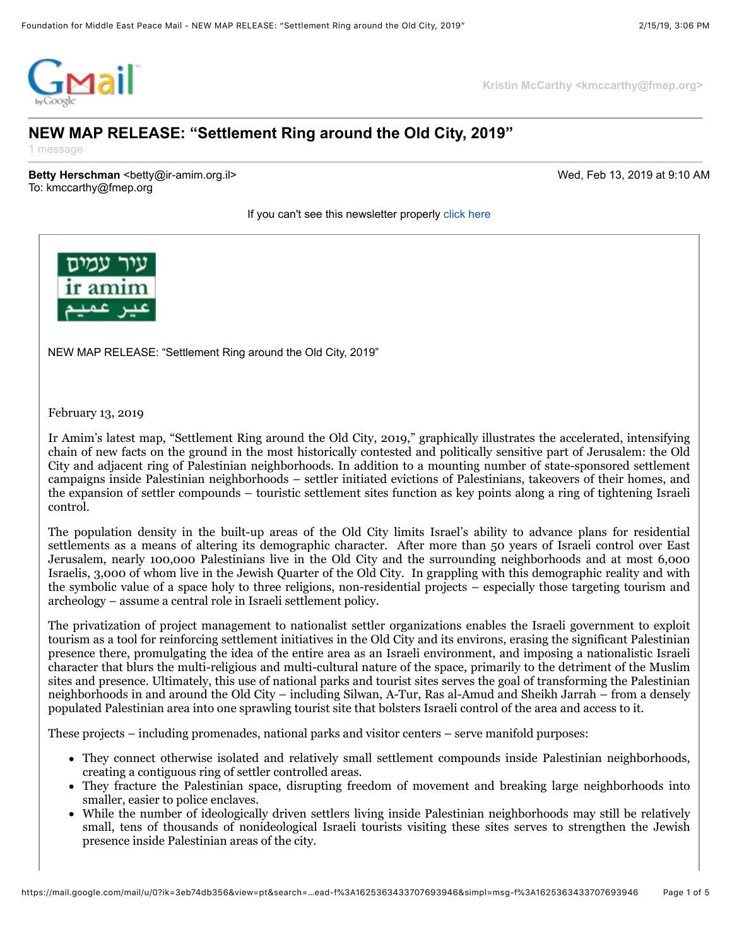

**Kristin McCarthy <kmccarthy@fmep.org>**

## **NEW MAP RELEASE: "Settlement Ring around the Old City, 2019"**

1 message

**Betty Herschman** <br/>>betty@ir-amim.org.il> Wed, Feb 13, 2019 at 9:10 AM To: kmccarthy@fmep.org

If you can't see this newsletter properly [click here](http://www.altro.co.il/newsletters/show/11315?key=8c8ccd36355938c1d0cba069aa172623&value=18d95e8e03b04e0d28d46e55d3db53b3290303ee:1319409)



NEW MAP RELEASE: "Settlement Ring around the Old City, 2019"

February 13, 2019

Ir Amim's latest map, "Settlement Ring around the Old City, 2019," graphically illustrates the accelerated, intensifying chain of new facts on the ground in the most historically contested and politically sensitive part of Jerusalem: the Old City and adjacent ring of Palestinian neighborhoods. In addition to a mounting number of state-sponsored settlement campaigns inside Palestinian neighborhoods – settler initiated evictions of Palestinians, takeovers of their homes, and the expansion of settler compounds – touristic settlement sites function as key points along a ring of tightening Israeli control.

The population density in the built-up areas of the Old City limits Israel's ability to advance plans for residential settlements as a means of altering its demographic character. After more than 50 years of Israeli control over East Jerusalem, nearly 100,000 Palestinians live in the Old City and the surrounding neighborhoods and at most 6,000 Israelis, 3,000 of whom live in the Jewish Quarter of the Old City. In grappling with this demographic reality and with the symbolic value of a space holy to three religions, non-residential projects – especially those targeting tourism and archeology – assume a central role in Israeli settlement policy.

The privatization of project management to nationalist settler organizations enables the Israeli government to exploit tourism as a tool for reinforcing settlement initiatives in the Old City and its environs, erasing the significant Palestinian presence there, promulgating the idea of the entire area as an Israeli environment, and imposing a nationalistic Israeli character that blurs the multi-religious and multi-cultural nature of the space, primarily to the detriment of the Muslim sites and presence. Ultimately, this use of national parks and tourist sites serves the goal of transforming the Palestinian neighborhoods in and around the Old City – including Silwan, A-Tur, Ras al-Amud and Sheikh Jarrah – from a densely populated Palestinian area into one sprawling tourist site that bolsters Israeli control of the area and access to it.

These projects – including promenades, national parks and visitor centers – serve manifold purposes:

- They connect otherwise isolated and relatively small settlement compounds inside Palestinian neighborhoods, creating a contiguous ring of settler controlled areas.
- They fracture the Palestinian space, disrupting freedom of movement and breaking large neighborhoods into smaller, easier to police enclaves.
- While the number of ideologically driven settlers living inside Palestinian neighborhoods may still be relatively small, tens of thousands of nonideological Israeli tourists visiting these sites serves to strengthen the Jewish presence inside Palestinian areas of the city.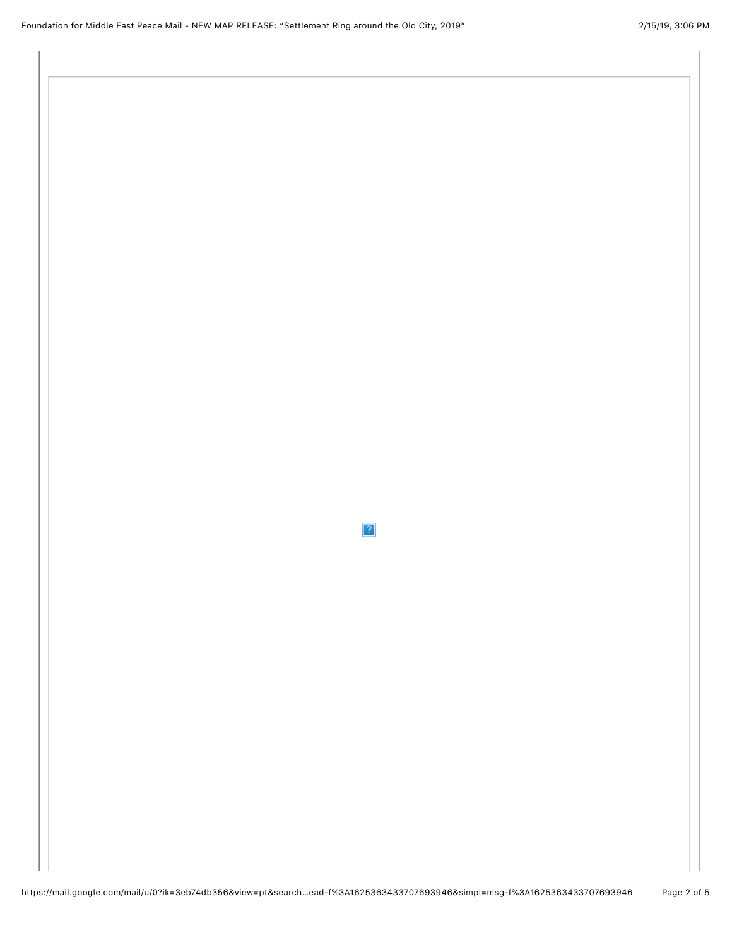$\overline{?}$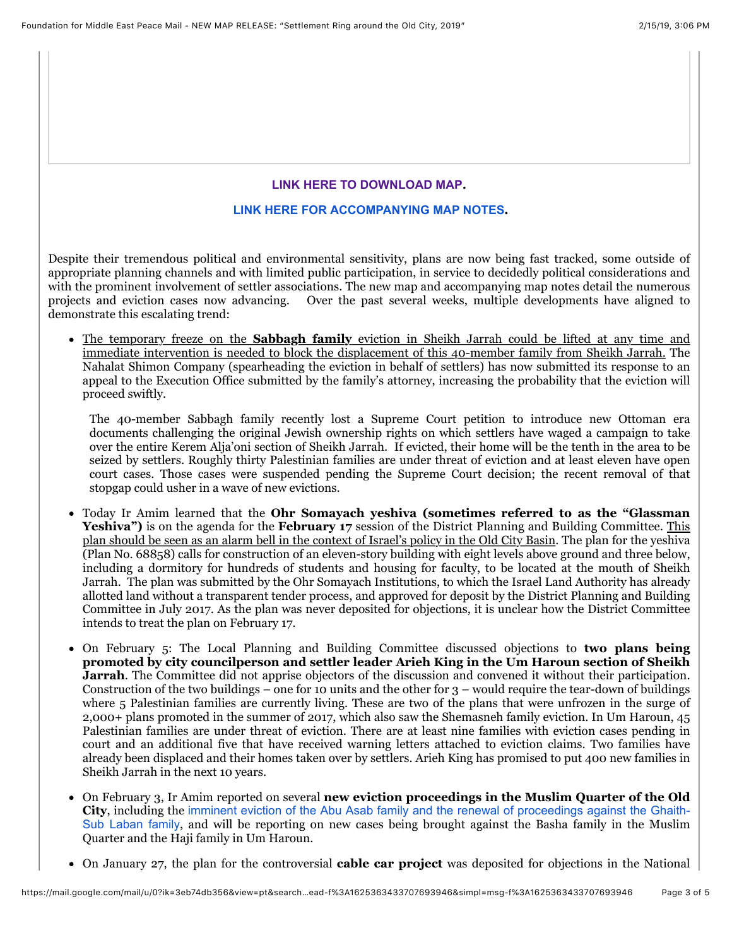## **[LINK HERE TO DOWNLOAD MAP](http://www.altro.co.il/uploads/252/File/Settlement%20Ring%20around%20the%20Old%20City%202019%20WITH%20RING.jpg).**

## **[LINK HERE FOR ACCOMPANYING MAP NOTES](http://www.altro.co.il/uploads/252/File/F-Tightening%20Ring%20of%20Israeli%20Settlement%20around%20the%20Old%20City.pdf).**

Despite their tremendous political and environmental sensitivity, plans are now being fast tracked, some outside of appropriate planning channels and with limited public participation, in service to decidedly political considerations and with the prominent involvement of settler associations. The new map and accompanying map notes detail the numerous projects and eviction cases now advancing. Over the past several weeks, multiple developments have aligned to demonstrate this escalating trend:

The temporary freeze on the **Sabbagh family** eviction in Sheikh Jarrah could be lifted at any time and immediate intervention is needed to block the displacement of this 40-member family from Sheikh Jarrah. The Nahalat Shimon Company (spearheading the eviction in behalf of settlers) has now submitted its response to an appeal to the Execution Office submitted by the family's attorney, increasing the probability that the eviction will proceed swiftly.

The 40-member Sabbagh family recently lost a Supreme Court petition to introduce new Ottoman era documents challenging the original Jewish ownership rights on which settlers have waged a campaign to take over the entire Kerem Alja'oni section of Sheikh Jarrah. If evicted, their home will be the tenth in the area to be seized by settlers. Roughly thirty Palestinian families are under threat of eviction and at least eleven have open court cases. Those cases were suspended pending the Supreme Court decision; the recent removal of that stopgap could usher in a wave of new evictions.

- Today Ir Amim learned that the **Ohr Somayach yeshiva (sometimes referred to as the "Glassman** Yeshiva") is on the agenda for the **February 17** session of the District Planning and Building Committee. This plan should be seen as an alarm bell in the context of Israel's policy in the Old City Basin. The plan for the yeshiva (Plan No. 68858) calls for construction of an eleven-story building with eight levels above ground and three below, including a dormitory for hundreds of students and housing for faculty, to be located at the mouth of Sheikh Jarrah. The plan was submitted by the Ohr Somayach Institutions, to which the Israel Land Authority has already allotted land without a transparent tender process, and approved for deposit by the District Planning and Building Committee in July 2017. As the plan was never deposited for objections, it is unclear how the District Committee intends to treat the plan on February 17.
- On February 5: The Local Planning and Building Committee discussed objections to **two plans being promoted by city councilperson and settler leader Arieh King in the Um Haroun section of Sheikh Jarrah**. The Committee did not apprise objectors of the discussion and convened it without their participation. Construction of the two buildings – one for 10 units and the other for  $3$  – would require the tear-down of buildings where 5 Palestinian families are currently living. These are two of the plans that were unfrozen in the surge of 2,000+ plans promoted in the summer of 2017, which also saw the Shemasneh family eviction. In Um Haroun, 45 Palestinian families are under threat of eviction. There are at least nine families with eviction cases pending in court and an additional five that have received warning letters attached to eviction claims. Two families have already been displaced and their homes taken over by settlers. Arieh King has promised to put 400 new families in Sheikh Jarrah in the next 10 years.
- On February 3, Ir Amim reported on several **new eviction proceedings in the Muslim Quarter of the Old City**, including the imminent eviction of the Abu Asab family and the renewal of proceedings against the Ghaith-Sub Laban family[, and will be reporting on new cases being brought against the Basha family in the Muslim](http://www.altro.co.il/newsletters/show/11303?key=e3c9fad629c57bf1d14ed05cba4c6c33&value=c82419d2eb7926e87a61500f02365db7a32a29ce:1380210) Quarter and the Haji family in Um Haroun.
- On January 27, the plan for the controversial **cable car project** was deposited for objections in the National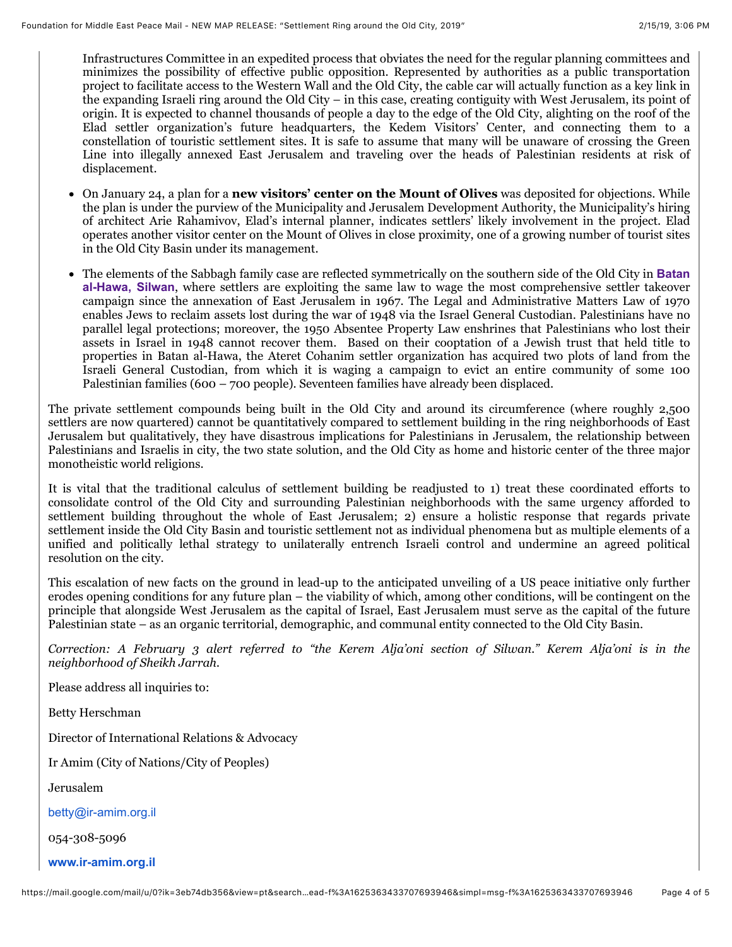Infrastructures Committee in an expedited process that obviates the need for the regular planning committees and minimizes the possibility of effective public opposition. Represented by authorities as a public transportation project to facilitate access to the Western Wall and the Old City, the cable car will actually function as a key link in the expanding Israeli ring around the Old City – in this case, creating contiguity with West Jerusalem, its point of origin. It is expected to channel thousands of people a day to the edge of the Old City, alighting on the roof of the Elad settler organization's future headquarters, the Kedem Visitors' Center, and connecting them to a constellation of touristic settlement sites. It is safe to assume that many will be unaware of crossing the Green Line into illegally annexed East Jerusalem and traveling over the heads of Palestinian residents at risk of displacement.

- On January 24, a plan for a **new visitors' center on the Mount of Olives** was deposited for objections. While the plan is under the purview of the Municipality and Jerusalem Development Authority, the Municipality's hiring of architect Arie Rahamivov, Elad's internal planner, indicates settlers' likely involvement in the project. Elad operates another visitor center on the Mount of Olives in close proximity, one of a growing number of tourist sites in the Old City Basin under its management.
- [The elements of the Sabbagh family case are reflected symmetrically on the southern side of the Old City in](http://www.ir-amim.org.il/sites/default/files/Broken%20Trust-Settlement%20in%20Batan%20al-Hawa-Silwan.pdf) **Batan al-Hawa, Silwan**, where settlers are exploiting the same law to wage the most comprehensive settler takeover campaign since the annexation of East Jerusalem in 1967. The Legal and Administrative Matters Law of 1970 enables Jews to reclaim assets lost during the war of 1948 via the Israel General Custodian. Palestinians have no parallel legal protections; moreover, the 1950 Absentee Property Law enshrines that Palestinians who lost their assets in Israel in 1948 cannot recover them. Based on their cooptation of a Jewish trust that held title to properties in Batan al-Hawa, the Ateret Cohanim settler organization has acquired two plots of land from the Israeli General Custodian, from which it is waging a campaign to evict an entire community of some 100 Palestinian families (600 – 700 people). Seventeen families have already been displaced.

The private settlement compounds being built in the Old City and around its circumference (where roughly 2,500 settlers are now quartered) cannot be quantitatively compared to settlement building in the ring neighborhoods of East Jerusalem but qualitatively, they have disastrous implications for Palestinians in Jerusalem, the relationship between Palestinians and Israelis in city, the two state solution, and the Old City as home and historic center of the three major monotheistic world religions.

It is vital that the traditional calculus of settlement building be readjusted to 1) treat these coordinated efforts to consolidate control of the Old City and surrounding Palestinian neighborhoods with the same urgency afforded to settlement building throughout the whole of East Jerusalem; 2) ensure a holistic response that regards private settlement inside the Old City Basin and touristic settlement not as individual phenomena but as multiple elements of a unified and politically lethal strategy to unilaterally entrench Israeli control and undermine an agreed political resolution on the city.

This escalation of new facts on the ground in lead-up to the anticipated unveiling of a US peace initiative only further erodes opening conditions for any future plan – the viability of which, among other conditions, will be contingent on the principle that alongside West Jerusalem as the capital of Israel, East Jerusalem must serve as the capital of the future Palestinian state – as an organic territorial, demographic, and communal entity connected to the Old City Basin.

*Correction: A February 3 alert referred to "the Kerem Alja'oni section of Silwan." Kerem Alja'oni is in the neighborhood of Sheikh Jarrah.*

Please address all inquiries to:

Betty Herschman

Director of International Relations & Advocacy

Ir Amim (City of Nations/City of Peoples)

Jerusalem

[betty@ir-amim.org.il](mailto:betty@ir-amim.org.il)

054-308-5096

**[www.ir-amim.org.il](http://www.ir-amim.org.il/)**